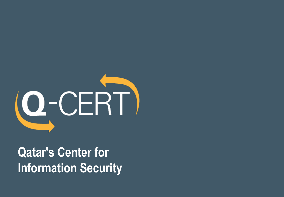

**Qatar's Center for Information Security**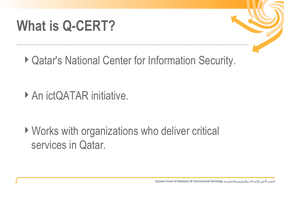### **What is Q-CERT?**



▶ Qatar's National Center for Information Security.

▶ An ictQATAR initiative.

▶ Works with organizations who deliver critical services in Qatar.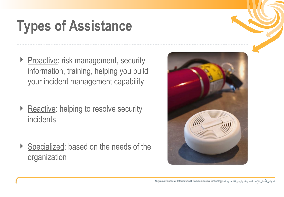## **Types of Assistance**

- Proactive: risk management, security information, training, helping you build your incident management capability
- ▶ Reactive: helping to resolve security incidents
- ▶ Specialized: based on the needs of the organization

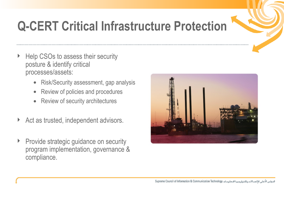

#### **Q-CERT Critical Infrastructure Protection**

- Help CSOs to assess their security posture & identify critical processes/assets:
	- Risk/Security assessment, gap analysis
	- Review of policies and procedures
	- Review of security architectures
- Act as trusted, independent advisors.
- **Provide strategic guidance on security** program implementation, governance & compliance.

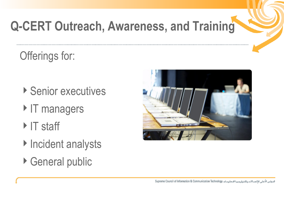#### **Q-CERT Outreach, Awareness, and Training**

Offerings for:

- ▶ Senior executives
- IT managers
- $\triangleright$  IT staff
- ▶ Incident analysts
- ▶ General public

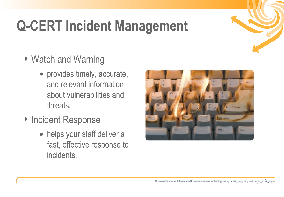## **Q-CERT Incident Management**

- ▶ Watch and Warning
	- provides timely, accurate, and relevant information about vulnerabilities and threats.
- ▶ Incident Response
	- helps your staff deliver a fast, effective response to incidents.

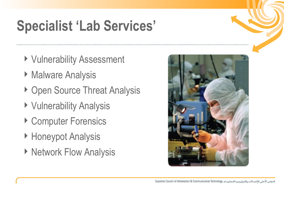## **Specialist 'Lab Services'**

- ▶ Vulnerability Assessment
- ▶ Malware Analysis
- ▶ Open Source Threat Analysis
- ▶ Vulnerability Analysis
- ▶ Computer Forensics
- ▶ Honeypot Analysis
- ▶ Network Flow Analysis



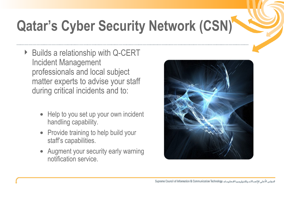# **Qatar's Cyber Security Network (CSN)**

- ▶ Builds a relationship with Q-CERT Incident Management professionals and local subject matter experts to advise your staff during critical incidents and to:
	- Help to you set up your own incident handling capability.
	- Provide training to help build your staff's capabilities.
	- Augment your security early warning notification service.

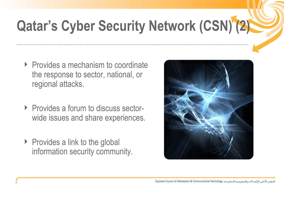# **Qatar's Cyber Security Network (CSN) (2)**

- ▶ Provides a mechanism to coordinate the response to sector, national, or regional attacks.
- **Provides a forum to discuss sector**wide issues and share experiences.
- $\triangleright$  Provides a link to the global information security community.

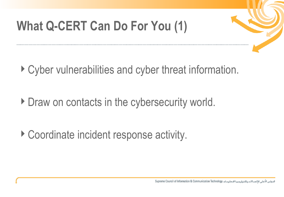#### **What Q-CERT Can Do For You (1)**



- ▶ Cyber vulnerabilities and cyber threat information.
- Draw on contacts in the cybersecurity world.
- ▶ Coordinate incident response activity.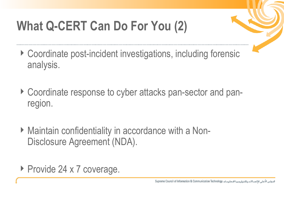#### **What Q-CERT Can Do For You (2)**



- ▶ Coordinate post-incident investigations, including forensic analysis.
- ▶ Coordinate response to cyber attacks pan-sector and panregion.
- ▶ Maintain confidentiality in accordance with a Non-Disclosure Agreement (NDA).
- ▶ Provide 24 x 7 coverage.